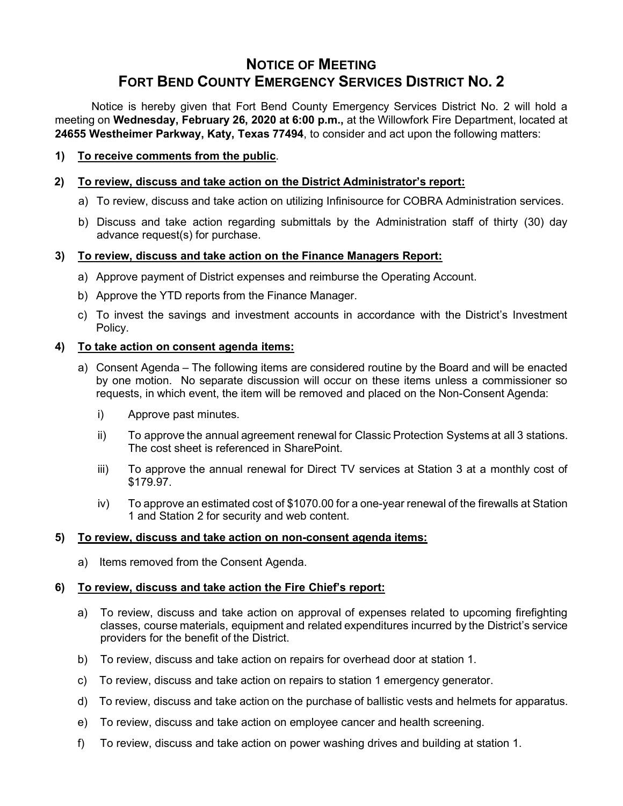# **NOTICE OF MEETING FORT BEND COUNTY EMERGENCY SERVICES DISTRICT NO. 2**

Notice is hereby given that Fort Bend County Emergency Services District No. 2 will hold a meeting on **Wednesday, February 26, 2020 at 6:00 p.m.,** at the Willowfork Fire Department, located at **24655 Westheimer Parkway, Katy, Texas 77494**, to consider and act upon the following matters:

# **1) To receive comments from the public**.

## **2) To review, discuss and take action on the District Administrator's report:**

- a) To review, discuss and take action on utilizing Infinisource for COBRA Administration services.
- b) Discuss and take action regarding submittals by the Administration staff of thirty (30) day advance request(s) for purchase.

## **3) To review, discuss and take action on the Finance Managers Report:**

- a) Approve payment of District expenses and reimburse the Operating Account.
- b) Approve the YTD reports from the Finance Manager.
- c) To invest the savings and investment accounts in accordance with the District's Investment Policy.

## **4) To take action on consent agenda items:**

- a) Consent Agenda The following items are considered routine by the Board and will be enacted by one motion. No separate discussion will occur on these items unless a commissioner so requests, in which event, the item will be removed and placed on the Non-Consent Agenda:
	- i) Approve past minutes.
	- ii) To approve the annual agreement renewal for Classic Protection Systems at all 3 stations. The cost sheet is referenced in SharePoint.
	- iii) To approve the annual renewal for Direct TV services at Station 3 at a monthly cost of \$179.97.
	- iv) To approve an estimated cost of \$1070.00 for a one-year renewal of the firewalls at Station 1 and Station 2 for security and web content.

#### **5) To review, discuss and take action on non-consent agenda items:**

a) Items removed from the Consent Agenda.

# **6) To review, discuss and take action the Fire Chief's report:**

- a) To review, discuss and take action on approval of expenses related to upcoming firefighting classes, course materials, equipment and related expenditures incurred by the District's service providers for the benefit of the District.
- b) To review, discuss and take action on repairs for overhead door at station 1.
- c) To review, discuss and take action on repairs to station 1 emergency generator.
- d) To review, discuss and take action on the purchase of ballistic vests and helmets for apparatus.
- e) To review, discuss and take action on employee cancer and health screening.
- f) To review, discuss and take action on power washing drives and building at station 1.